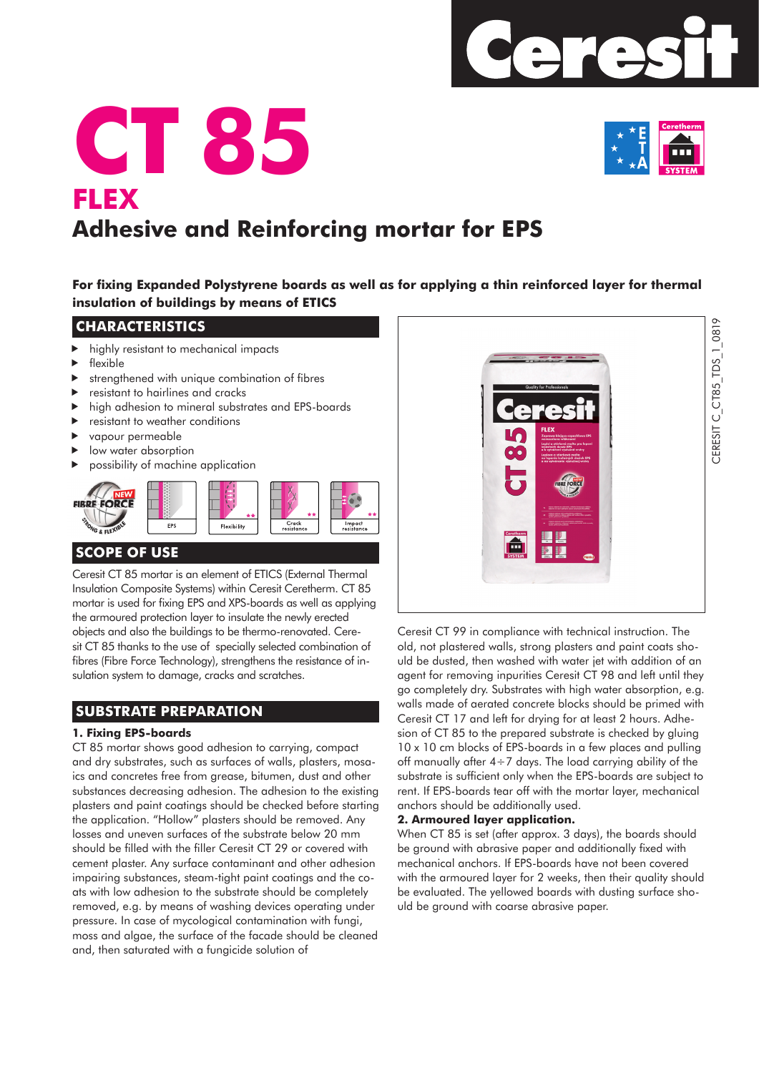

# **CT 85 FLEX Adhesive and Reinforcing mortar for EPS**

For fixing Expanded Polystyrene boards as well as for applying a thin reinforced layer for thermal **insulation of buildings by means of ETICS**

# **CHARACTERISTICS**

- highly resistant to mechanical impacts
- $\blacktriangleright$  flexible
- strengthened with unique combination of fibres
- resistant to hairlines and cracks
- high adhesion to mineral substrates and EPS-boards
- resistant to weather conditions
- vapour permeable
- low water absorption
- possibility of machine application



# **SCOPE OF USE**

Ceresit CT 85 mortar is an element of ETICS (External Thermal Insulation Composite Systems) within Ceresit Ceretherm. CT 85 mortar is used for fixing EPS and XPS-boards as well as applying the armoured protection layer to insulate the newly erected objects and also the buildings to be thermo-renovated. Ceresit CT 85 thanks to the use of specially selected combination of fibres (Fibre Force Technology), strengthens the resistance of insulation system to damage, cracks and scratches.

# **SUBSTRATE PREPARATION**

#### **1. Fixing EPS-boards**

CT 85 mortar shows good adhesion to carrying, compact and dry substrates, such as surfaces of walls, plasters, mosaics and concretes free from grease, bitumen, dust and other substances decreasing adhesion. The adhesion to the existing plasters and paint coatings should be checked before starting the application. "Hollow" plasters should be removed. Any losses and uneven surfaces of the substrate below 20 mm should be filled with the filler Ceresit CT 29 or covered with cement plaster. Any surface contaminant and other adhesion impairing substances, steam-tight paint coatings and the coats with low adhesion to the substrate should be completely removed, e.g. by means of washing devices operating under pressure. In case of mycological contamination with fungi, moss and algae, the surface of the facade should be cleaned and, then saturated with a fungicide solution of



Ceresit CT 99 in compliance with technical instruction. The old, not plastered walls, strong plasters and paint coats should be dusted, then washed with water jet with addition of an agent for removing inpurities Ceresit CT 98 and left until they go completely dry. Substrates with high water absorption, e.g. walls made of aerated concrete blocks should be primed with Ceresit CT 17 and left for drying for at least 2 hours. Adhesion of CT 85 to the prepared substrate is checked by gluing 10 x 10 cm blocks of EPS-boards in a few places and pulling off manually after  $4 \div 7$  days. The load carrying ability of the substrate is sufficient only when the EPS-boards are subject to rent. If EPS-boards tear off with the mortar layer, mechanical anchors should be additionally used.

#### **2. Armoured layer application.**

When CT 85 is set (after approx. 3 days), the boards should be around with abrasive paper and additionally fixed with mechanical anchors. If EPS-boards have not been covered with the armoured layer for 2 weeks, then their quality should be evaluated. The yellowed boards with dusting surface should be ground with coarse abrasive paper.